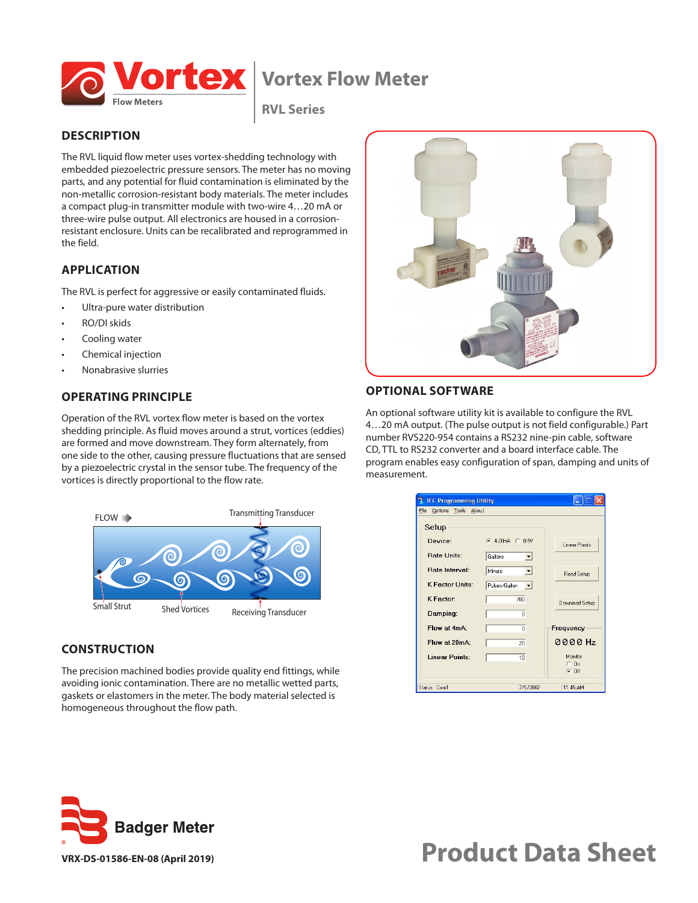

# **Vortex Flow Meter**

**RVL Series**

# **DESCRIPTION**

The RVL liquid flow meter uses vortex-shedding technology with embedded piezoelectric pressure sensors. The meter has no moving parts, and any potential for fluid contamination is eliminated by the non-metallic corrosion-resistant body materials. The meter includes a compact plug-in transmitter module with two-wire 4…20 mA or three-wire pulse output. All electronics are housed in a corrosionresistant enclosure. Units can be recalibrated and reprogrammed in the field.

# **APPLICATION**

The RVL is perfect for aggressive or easily contaminated fluids.

- Ultra-pure water distribution
- RO/DI skids
- Cooling water
- Chemical injection
- Nonabrasive slurries

### **OPERATING PRINCIPLE**

Operation of the RVL vortex flow meter is based on the vortex shedding principle. As fluid moves around a strut, vortices (eddies) are formed and move downstream. They form alternately, from one side to the other, causing pressure fluctuations that are sensed by a piezoelectric crystal in the sensor tube. The frequency of the vortices is directly proportional to the flow rate.



#### **CONSTRUCTION**

The precision machined bodies provide quality end fittings, while avoiding ionic contamination. There are no metallic wetted parts, gaskets or elastomers in the meter. The body material selected is homogeneous throughout the flow path.



### **OPTIONAL SOFTWARE**

An optional software utility kit is available to configure the RVL 4…20 mA output. (The pulse output is not field configurable.) Part number RVS220-954 contains a RS232 nine-pin cable, software CD, TTL to RS232 converter and a board interface cable. The program enables easy configuration of span, damping and units of measurement.

| <b>IFC Programming Utility</b><br>Options Tools About<br>File |                                      |                      |
|---------------------------------------------------------------|--------------------------------------|----------------------|
| Setup                                                         |                                      |                      |
| Device:                                                       | $64-20mA$ $C1-5V$                    | <b>Linear Points</b> |
| Rate Units:                                                   | Gallons<br>$\vert$                   |                      |
| <b>Bate Interval:</b>                                         | Minute<br>$\blacktriangledown$       | Read Setup           |
| <b>K Factor Units:</b>                                        | Pulses/Gallon<br>$\vert \cdot \vert$ |                      |
| <b>K</b> Factor:                                              | 780                                  | Download Setup       |
| Damping:                                                      | $\Omega$                             |                      |
| Flow at 4mA:                                                  | n                                    | <b>Frequency</b>     |
| Flow at 20mA:                                                 | 20                                   | 0000 Hz              |
| <b>Linear Points:</b>                                         | 10                                   | Monitor              |
|                                                               |                                      | $C$ $n$<br>$G$ Off   |
| Status: Com1                                                  | 7/5/2007                             | 11:45 AM             |



# **VRX-DS-01586-EN-08 (April 2019) Product Data Sheet**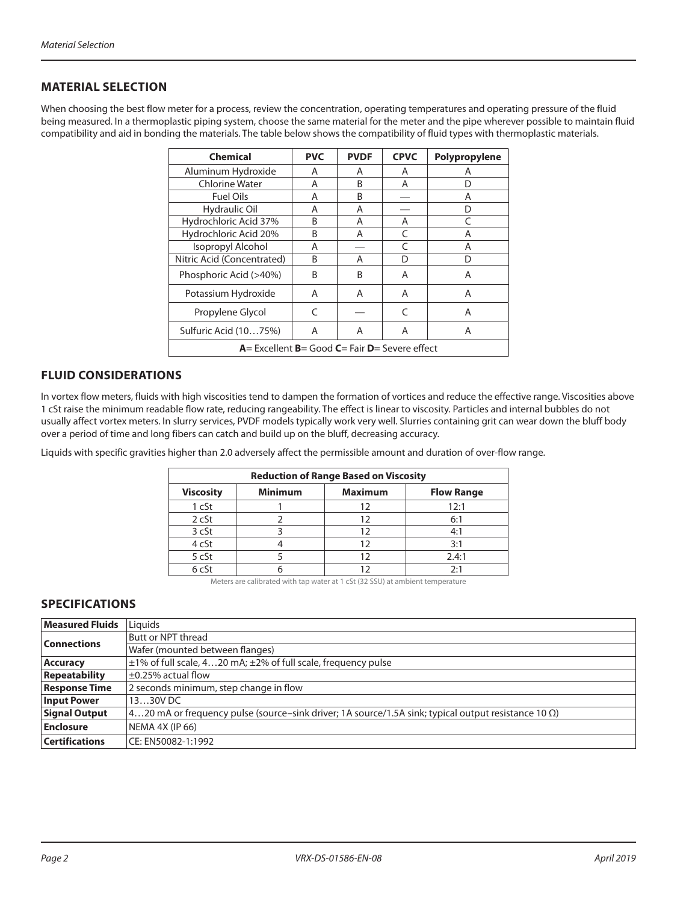#### **MATERIAL SELECTION**

When choosing the best flow meter for a process, review the concentration, operating temperatures and operating pressure of the fluid being measured. In a thermoplastic piping system, choose the same material for the meter and the pipe wherever possible to maintain fluid compatibility and aid in bonding the materials. The table below shows the compatibility of fluid types with thermoplastic materials.

| <b>Chemical</b>                                       | <b>PVC</b> | <b>PVDF</b> | <b>CPVC</b> | Polypropylene |  |  |
|-------------------------------------------------------|------------|-------------|-------------|---------------|--|--|
| Aluminum Hydroxide                                    | A          | A           | A           | Α             |  |  |
| <b>Chlorine Water</b>                                 | A          | B           | A           | D             |  |  |
| Fuel Oils                                             | A          | В           |             | Α             |  |  |
| Hydraulic Oil                                         | Α          | Α           |             | D             |  |  |
| Hydrochloric Acid 37%                                 | B          | A           | A           | C             |  |  |
| Hydrochloric Acid 20%                                 | B          | Α           | C           | Α             |  |  |
| Isopropyl Alcohol                                     | A          |             |             | Α             |  |  |
| Nitric Acid (Concentrated)                            | B          | Α           | D           | D             |  |  |
| Phosphoric Acid (>40%)                                | B          | B           | A           | A             |  |  |
| Potassium Hydroxide                                   | Α          | Α           | Α           | Α             |  |  |
| Propylene Glycol                                      | C          |             | C           | A             |  |  |
| Sulfuric Acid (1075%)                                 | A          | A           | A           | Α             |  |  |
| $A=$ Excellent $B=$ Good $C=$ Fair $D=$ Severe effect |            |             |             |               |  |  |

### **FLUID CONSIDERATIONS**

In vortex flow meters, fluids with high viscosities tend to dampen the formation of vortices and reduce the effective range. Viscosities above 1 cSt raise the minimum readable flow rate, reducing rangeability. The effect is linear to viscosity. Particles and internal bubbles do not usually affect vortex meters. In slurry services, PVDF models typically work very well. Slurries containing grit can wear down the bluff body over a period of time and long fibers can catch and build up on the bluff, decreasing accuracy.

Liquids with specific gravities higher than 2.0 adversely affect the permissible amount and duration of over-flow range.

| <b>Reduction of Range Based on Viscosity</b>                              |  |    |       |  |  |
|---------------------------------------------------------------------------|--|----|-------|--|--|
| <b>Minimum</b><br><b>Maximum</b><br><b>Viscosity</b><br><b>Flow Range</b> |  |    |       |  |  |
| 1 cSt                                                                     |  | 12 | 12:1  |  |  |
| 2 cSt                                                                     |  | 12 | 6:1   |  |  |
| 3 cSt                                                                     |  | 12 | 4:1   |  |  |
| 4 cSt                                                                     |  | 12 | 3:1   |  |  |
| 5 cSt                                                                     |  | 12 | 2.4:1 |  |  |
| 6 <sub>cs</sub>                                                           |  |    | 2:1   |  |  |

Meters are calibrated with tap water at 1 cSt (32 SSU) at ambient temperature

# **SPECIFICATIONS**

| <b>Measured Fluids</b> | Liquids                                                                                                        |
|------------------------|----------------------------------------------------------------------------------------------------------------|
| <b>Connections</b>     | Butt or NPT thread                                                                                             |
|                        | Wafer (mounted between flanges)                                                                                |
| <b>Accuracy</b>        | $\pm$ 1% of full scale, 420 mA; $\pm$ 2% of full scale, frequency pulse                                        |
| <b>Repeatability</b>   | $\pm 0.25\%$ actual flow                                                                                       |
| <b>Response Time</b>   | 2 seconds minimum, step change in flow                                                                         |
| <b>Input Power</b>     | $1330V$ DC                                                                                                     |
| <b>Signal Output</b>   | $ 420$ mA or frequency pulse (source-sink driver; 1A source/1.5A sink; typical output resistance 10 $\Omega$ ) |
| <b>Enclosure</b>       | NEMA 4X (IP 66)                                                                                                |
| <b>Certifications</b>  | CE: EN50082-1:1992                                                                                             |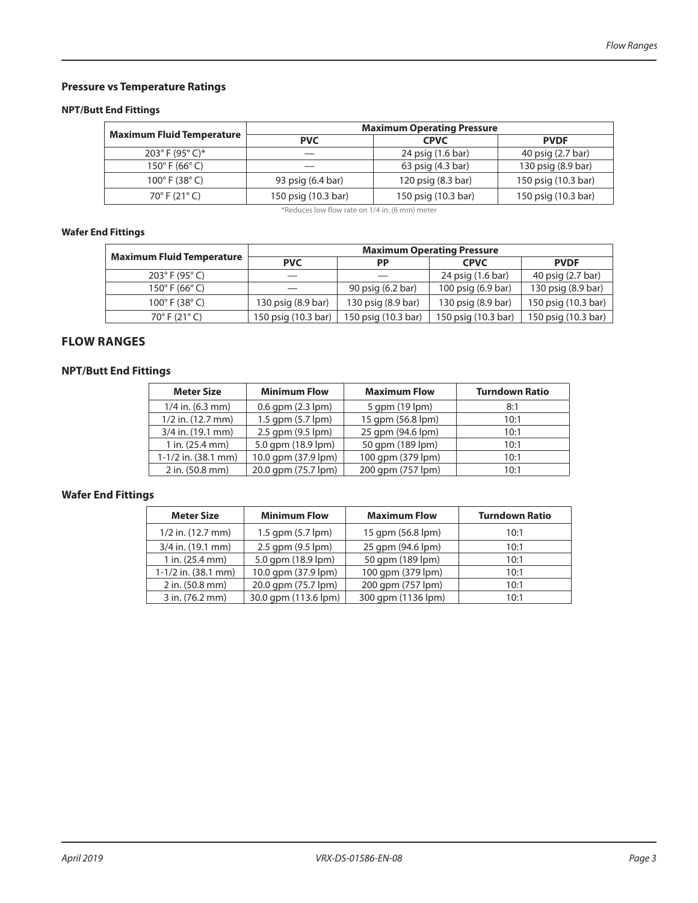# **Pressure vs Temperature Ratings**

#### **NPT/Butt End Fittings**

|                                    | <b>Maximum Operating Pressure</b> |                     |                     |  |  |  |
|------------------------------------|-----------------------------------|---------------------|---------------------|--|--|--|
| <b>Maximum Fluid Temperature</b>   | <b>PVC</b>                        | <b>CPVC</b>         | <b>PVDF</b>         |  |  |  |
| $203^{\circ}$ F (95 $^{\circ}$ C)* |                                   | 24 psig (1.6 bar)   | 40 psig (2.7 bar)   |  |  |  |
| $150^{\circ}$ F (66 $^{\circ}$ C)  |                                   | 63 psig (4.3 bar)   | 130 psig (8.9 bar)  |  |  |  |
| $100^{\circ}$ F (38 $^{\circ}$ C)  | 93 psig (6.4 bar)                 | 120 psig (8.3 bar)  | 150 psig (10.3 bar) |  |  |  |
| $70^{\circ}$ F (21 $^{\circ}$ C)   | 150 psig (10.3 bar)               | 150 psig (10.3 bar) | 150 psig (10.3 bar) |  |  |  |

\*Reduces low flow rate on 1/4 in. (6 mm) meter

#### **Wafer End Fittings**

|                                   | <b>Maximum Operating Pressure</b> |                     |                     |                     |  |  |
|-----------------------------------|-----------------------------------|---------------------|---------------------|---------------------|--|--|
| <b>Maximum Fluid Temperature</b>  | <b>PVC</b>                        | <b>PP</b>           | <b>CPVC</b>         | <b>PVDF</b>         |  |  |
| $203^{\circ}$ F (95 $^{\circ}$ C) |                                   |                     | 24 psig (1.6 bar)   | 40 psig (2.7 bar)   |  |  |
| $150^{\circ}$ F (66 $^{\circ}$ C) |                                   | 90 psig (6.2 bar)   | 100 psig (6.9 bar)  | 130 psig (8.9 bar)  |  |  |
| $100^{\circ}$ F (38 $^{\circ}$ C) | 130 psig (8.9 bar)                | 130 psig (8.9 bar)  | 130 psig (8.9 bar)  | 150 psig (10.3 bar) |  |  |
| $70^{\circ}$ F (21 $^{\circ}$ C)  | 150 psig (10.3 bar)               | 150 psig (10.3 bar) | 150 psig (10.3 bar) | 150 psig (10.3 bar) |  |  |

### **FLOW RANGES**

#### **NPT/Butt End Fittings**

| <b>Meter Size</b>     | <b>Minimum Flow</b>      | <b>Maximum Flow</b> | <b>Turndown Ratio</b> |
|-----------------------|--------------------------|---------------------|-----------------------|
| $1/4$ in. (6.3 mm)    | $0.6$ gpm $(2.3$ lpm $)$ | 5 gpm (19 lpm)      | 8:1                   |
| $1/2$ in. $(12.7$ mm) | 1.5 gpm (5.7 lpm)        | 15 gpm (56.8 lpm)   | 10:1                  |
| 3/4 in. (19.1 mm)     | 2.5 gpm (9.5 lpm)        | 25 gpm (94.6 lpm)   | 10:1                  |
| $1$ in. (25.4 mm)     | 5.0 gpm (18.9 lpm)       | 50 gpm (189 lpm)    | 10:1                  |
| $1-1/2$ in. (38.1 mm) | 10.0 gpm (37.9 lpm)      | 100 gpm (379 lpm)   | 10:1                  |
| 2 in. (50.8 mm)       | 20.0 gpm (75.7 lpm)      | 200 gpm (757 lpm)   | 10:1                  |

### **Wafer End Fittings**

| <b>Meter Size</b>                            | <b>Minimum Flow</b>  | <b>Maximum Flow</b> | <b>Turndown Ratio</b> |
|----------------------------------------------|----------------------|---------------------|-----------------------|
| $1/2$ in. $(12.7$ mm)                        | 1.5 gpm (5.7 lpm)    | 15 gpm (56.8 lpm)   | 10:1                  |
| 3/4 in. (19.1 mm)<br>2.5 gpm (9.5 lpm)       |                      | 25 gpm (94.6 lpm)   | 10:1                  |
| 5.0 gpm (18.9 lpm)<br>$1$ in. (25.4 mm)      |                      | 50 gpm (189 lpm)    | 10:1                  |
| 10.0 gpm (37.9 lpm)<br>$1-1/2$ in. (38.1 mm) |                      | 100 gpm (379 lpm)   | 10:1                  |
| 20.0 gpm (75.7 lpm)<br>2 in. (50.8 mm)       |                      | 200 gpm (757 lpm)   | 10:1                  |
| 3 in. (76.2 mm)                              | 30.0 gpm (113.6 lpm) | 300 gpm (1136 lpm)  | 10:1                  |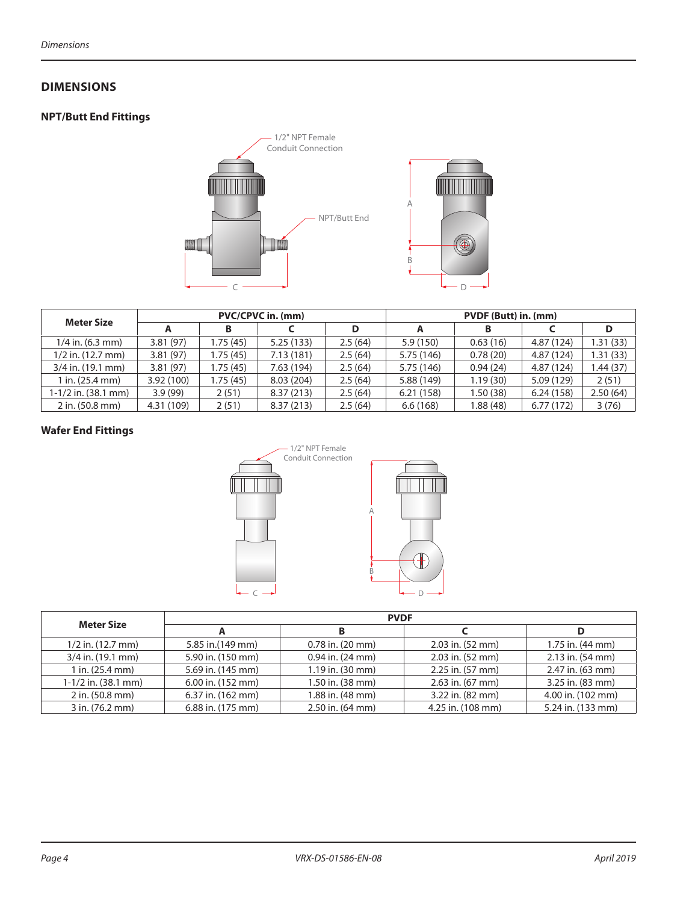#### **DIMENSIONS**

# **NPT/Butt End Fittings**



| <b>Meter Size</b>     |            |           | <b>PVC/CPVC in. (mm)</b> |         |            | PVDF (Butt) in. (mm) |            |          |  |
|-----------------------|------------|-----------|--------------------------|---------|------------|----------------------|------------|----------|--|
|                       |            |           |                          |         | A          | в                    |            | D        |  |
| $1/4$ in. (6.3 mm)    | 3.81(97)   | 1.75 (45) | 5.25(133)                | 2.5(64) | 5.9(150)   | 0.63(16)             | 4.87 (124) | 1.31(33) |  |
| $1/2$ in. $(12.7$ mm) | 3.81(97)   | 1.75 (45) | 7.13(181)                | 2.5(64) | 5.75 (146) | 0.78(20)             | 4.87 (124) | 1.31(33) |  |
| 3/4 in. (19.1 mm)     | 3.81(97)   | 1.75 (45) | 7.63 (194)               | 2.5(64) | 5.75 (146) | 0.94(24)             | 4.87 (124) | .44(37)  |  |
| l in. (25.4 mm)       | 3.92(100)  | 1.75 (45) | 8.03(204)                | 2.5(64) | 5.88 (149) | 1.19(30)             | 5.09 (129) | 2(51)    |  |
| $1-1/2$ in. (38.1 mm) | 3.9(99)    | 2(51)     | 8.37(213)                | 2.5(64) | 6.21(158)  | 1.50(38)             | 6.24(158)  | 2.50(64) |  |
| 2 in. (50.8 mm)       | 4.31 (109) | 2(51)     | 8.37(213)                | 2.5(64) | 6.6(168)   | 1.88(48)             | 6.77(172)  | 3(76)    |  |

# **Wafer End Fittings**



| <b>Meter Size</b>     |                   | <b>PVDF</b>             |                      |                   |  |  |  |  |
|-----------------------|-------------------|-------------------------|----------------------|-------------------|--|--|--|--|
|                       |                   | B.                      |                      | D                 |  |  |  |  |
| $1/2$ in. $(12.7$ mm) | 5.85 in.(149 mm)  | $0.78$ in. $(20$ mm $)$ | $2.03$ in. $(52$ mm) | 1.75 in. (44 mm)  |  |  |  |  |
| 3/4 in. (19.1 mm)     | 5.90 in. (150 mm) | $0.94$ in. $(24$ mm)    | 2.03 in. (52 mm)     | 2.13 in. (54 mm)  |  |  |  |  |
| $1$ in. $(25.4$ mm)   | 5.69 in. (145 mm) | 1.19 in. (30 mm)        | 2.25 in. (57 mm)     | 2.47 in. (63 mm)  |  |  |  |  |
| $1-1/2$ in. (38.1 mm) | 6.00 in. (152 mm) | 1.50 in. (38 mm)        | 2.63 in. (67 mm)     | 3.25 in. (83 mm)  |  |  |  |  |
| 2 in. (50.8 mm)       | 6.37 in. (162 mm) | 1.88 in. (48 mm)        | 3.22 in. (82 mm)     | 4.00 in. (102 mm) |  |  |  |  |
| 3 in. (76.2 mm)       | 6.88 in. (175 mm) | 2.50 in. (64 mm)        | 4.25 in. (108 mm)    | 5.24 in. (133 mm) |  |  |  |  |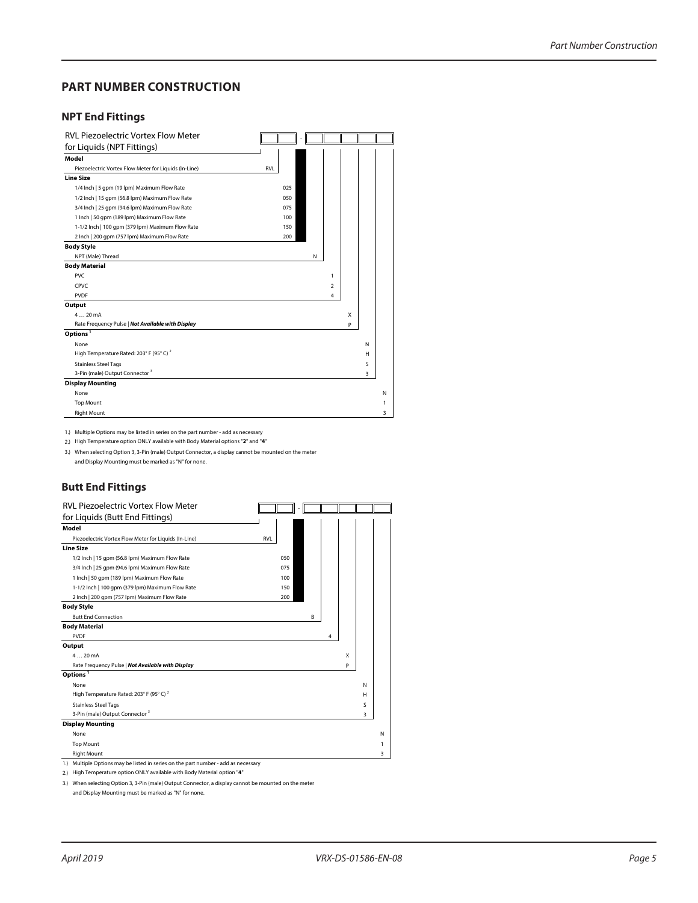#### **PART NUMBER CONSTRUCTION**

#### **NPT End Fittings**

| <b>RVL Piezoelectric Vortex Flow Meter</b>            |            |   |   |   |   |
|-------------------------------------------------------|------------|---|---|---|---|
| for Liquids (NPT Fittings)                            |            |   |   |   |   |
| Model                                                 |            |   |   |   |   |
| Piezoelectric Vortex Flow Meter for Liquids (In-Line) | <b>RVL</b> |   |   |   |   |
| <b>Line Size</b>                                      |            |   |   |   |   |
| 1/4 Inch   5 gpm (19 lpm) Maximum Flow Rate           | 025        |   |   |   |   |
| 1/2 Inch   15 gpm (56.8 lpm) Maximum Flow Rate        | 050        |   |   |   |   |
| 3/4 Inch   25 qpm (94.6 lpm) Maximum Flow Rate        | 075        |   |   |   |   |
| 1 Inch   50 gpm (189 lpm) Maximum Flow Rate           | 100        |   |   |   |   |
| 1-1/2 Inch   100 gpm (379 lpm) Maximum Flow Rate      | 150        |   |   |   |   |
| 2 Inch   200 qpm (757 lpm) Maximum Flow Rate          | 200        |   |   |   |   |
| <b>Body Style</b>                                     |            |   |   |   |   |
| NPT (Male) Thread                                     | N          |   |   |   |   |
| <b>Body Material</b>                                  |            |   |   |   |   |
| <b>PVC</b>                                            |            | 1 |   |   |   |
| CPVC                                                  |            | 2 |   |   |   |
| <b>PVDF</b>                                           |            | 4 |   |   |   |
| Output                                                |            |   |   |   |   |
| 420mA                                                 |            |   | X |   |   |
| Rate Frequency Pulse   Not Available with Display     |            |   | P |   |   |
| Options <sup>1</sup>                                  |            |   |   |   |   |
| None                                                  |            |   |   | N |   |
| High Temperature Rated: 203° F (95° C) <sup>2</sup>   |            |   |   | н |   |
| <b>Stainless Steel Tags</b>                           |            |   |   | S |   |
| 3-Pin (male) Output Connector <sup>3</sup>            |            |   |   | 3 |   |
| <b>Display Mounting</b>                               |            |   |   |   |   |
| None                                                  |            |   |   |   | N |
| <b>Top Mount</b>                                      |            |   |   |   | 1 |
| <b>Right Mount</b>                                    |            |   |   |   | 3 |

1.) Multiple Options may be listed in series on the part number - add as necessary

2.) High Temperature option ONLY available with Body Material options "**2**" and "**4**"

3.) When selecting Option 3, 3-Pin (male) Output Connector, a display cannot be mounted on the meter and Display Mounting must be marked as "N" for none.

#### **Butt End Fittings**

| <b>RVL Piezoelectric Vortex Flow Meter</b>                                         |            |   |   |   |   |
|------------------------------------------------------------------------------------|------------|---|---|---|---|
| for Liquids (Butt End Fittings)                                                    |            |   |   |   |   |
| Model                                                                              |            |   |   |   |   |
| Piezoelectric Vortex Flow Meter for Liquids (In-Line)                              | <b>RVL</b> |   |   |   |   |
| <b>Line Size</b>                                                                   |            |   |   |   |   |
| 1/2 Inch   15 qpm (56.8 lpm) Maximum Flow Rate                                     | 050        |   |   |   |   |
| 3/4 Inch   25 qpm (94.6 lpm) Maximum Flow Rate                                     | 075        |   |   |   |   |
| 1 Inch   50 qpm (189 lpm) Maximum Flow Rate                                        | 100        |   |   |   |   |
| 1-1/2 Inch   100 gpm (379 lpm) Maximum Flow Rate                                   | 150        |   |   |   |   |
| 2 Inch   200 gpm (757 lpm) Maximum Flow Rate                                       | 200        |   |   |   |   |
| <b>Body Style</b>                                                                  |            |   |   |   |   |
| <b>Butt End Connection</b>                                                         | B          |   |   |   |   |
| <b>Body Material</b>                                                               |            |   |   |   |   |
| <b>PVDF</b>                                                                        |            | 4 |   |   |   |
| Output                                                                             |            |   |   |   |   |
| 420mA                                                                              |            |   | X |   |   |
| Rate Frequency Pulse   Not Available with Display                                  |            |   | P |   |   |
| Options <sup>1</sup>                                                               |            |   |   |   |   |
| None                                                                               |            |   |   | N |   |
| High Temperature Rated: 203° F (95° C) <sup>2</sup>                                |            |   |   | н |   |
| <b>Stainless Steel Tags</b>                                                        |            |   |   | S |   |
| 3-Pin (male) Output Connector <sup>3</sup>                                         |            |   |   | 3 |   |
| <b>Display Mounting</b>                                                            |            |   |   |   |   |
| None                                                                               |            |   |   |   | Ν |
| <b>Top Mount</b>                                                                   |            |   |   |   | 1 |
| <b>Right Mount</b>                                                                 |            |   |   |   | 3 |
| 1.) Multiple Options may be listed in series on the part number - add as necessary |            |   |   |   |   |

2.) High Temperature option ONLY available with Body Material option "**4**"

3.) When selecting Option 3, 3-Pin (male) Output Connector, a display cannot be mounted on the meter

and Display Mounting must be marked as "N" for none.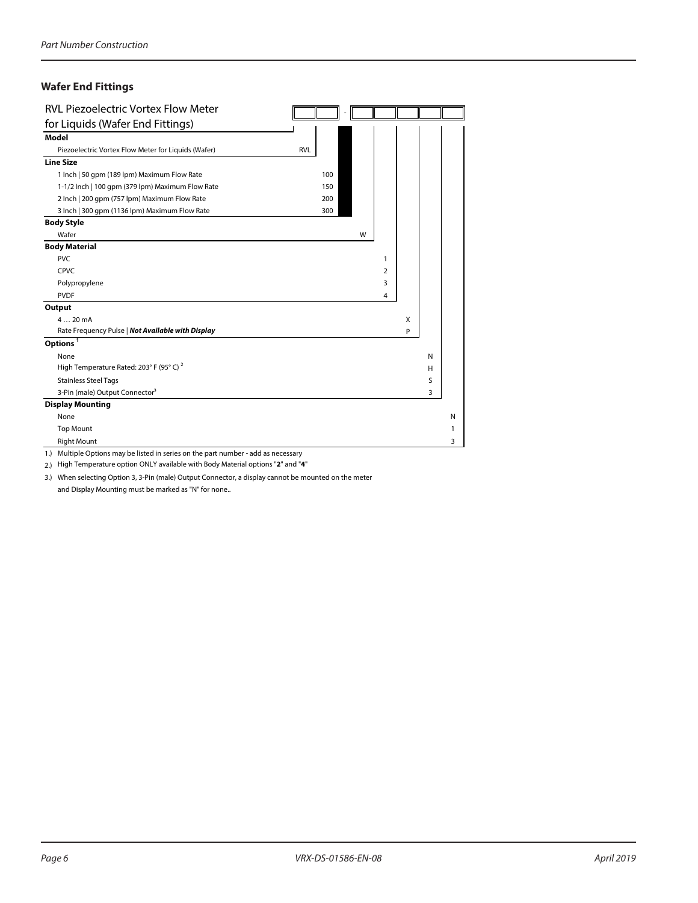# **Wafer End Fittings**

| <b>RVL Piezoelectric Vortex Flow Meter</b>          |            |   |                |   |   |   |
|-----------------------------------------------------|------------|---|----------------|---|---|---|
| for Liquids (Wafer End Fittings)                    |            |   |                |   |   |   |
| Model                                               |            |   |                |   |   |   |
| Piezoelectric Vortex Flow Meter for Liquids (Wafer) | <b>RVL</b> |   |                |   |   |   |
| <b>Line Size</b>                                    |            |   |                |   |   |   |
| 1 Inch   50 gpm (189 lpm) Maximum Flow Rate         | 100        |   |                |   |   |   |
| 1-1/2 lnch   100 gpm (379 lpm) Maximum Flow Rate    | 150        |   |                |   |   |   |
| 2 Inch   200 gpm (757 lpm) Maximum Flow Rate        | 200        |   |                |   |   |   |
| 3 Inch   300 gpm (1136 lpm) Maximum Flow Rate       | 300        |   |                |   |   |   |
| <b>Body Style</b>                                   |            |   |                |   |   |   |
| Wafer                                               |            | W |                |   |   |   |
| <b>Body Material</b>                                |            |   |                |   |   |   |
| <b>PVC</b>                                          |            |   | 1              |   |   |   |
| CPVC                                                |            |   | $\overline{2}$ |   |   |   |
| Polypropylene                                       |            |   | 3              |   |   |   |
| <b>PVDF</b>                                         |            |   | 4              |   |   |   |
| Output                                              |            |   |                |   |   |   |
| $420 \text{ mA}$                                    |            |   |                | X |   |   |
| Rate Frequency Pulse   Not Available with Display   |            |   |                | P |   |   |
| Options <sup>1</sup>                                |            |   |                |   |   |   |
| None                                                |            |   |                |   | N |   |
| High Temperature Rated: 203° F (95° C) <sup>2</sup> |            |   |                |   | H |   |
| <b>Stainless Steel Tags</b>                         |            |   |                |   | S |   |
| 3-Pin (male) Output Connector <sup>3</sup>          |            |   |                |   | 3 |   |
| <b>Display Mounting</b>                             |            |   |                |   |   |   |
| None                                                |            |   |                |   |   | N |
| <b>Top Mount</b>                                    |            |   |                |   |   | 1 |
| <b>Right Mount</b>                                  |            |   |                |   |   | 3 |

1.) Multiple Options may be listed in series on the part number - add as necessary

2.) High Temperature option ONLY available with Body Material options "**2**" and "**4**"

3.) When selecting Option 3, 3-Pin (male) Output Connector, a display cannot be mounted on the meter

and Display Mounting must be marked as "N" for none..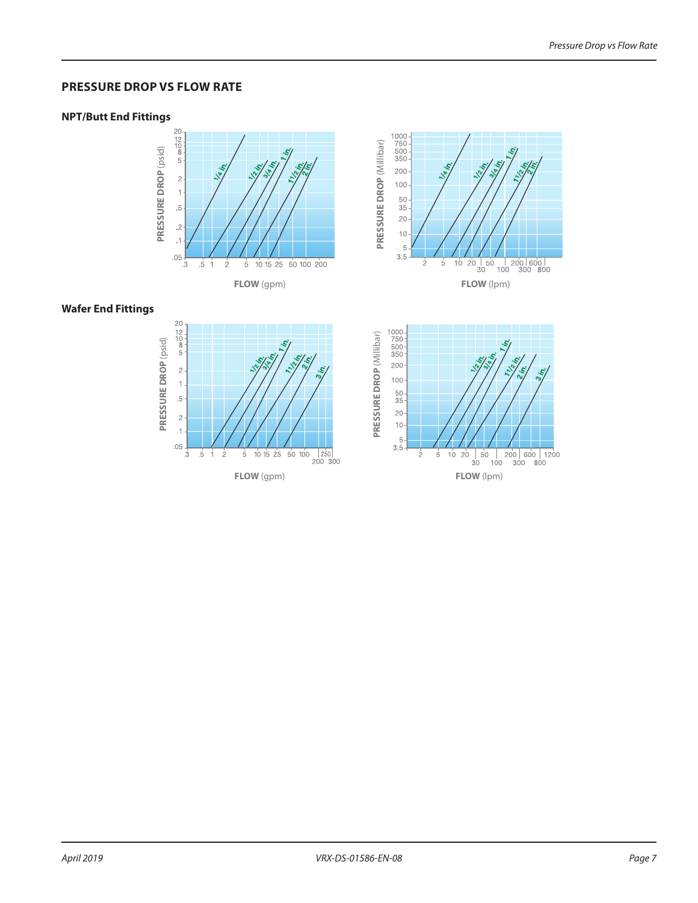#### **PRESSURE DROP VS FLOW RATE**

#### **NPT/Butt End Fittings**





#### **Wafer End Fittings**